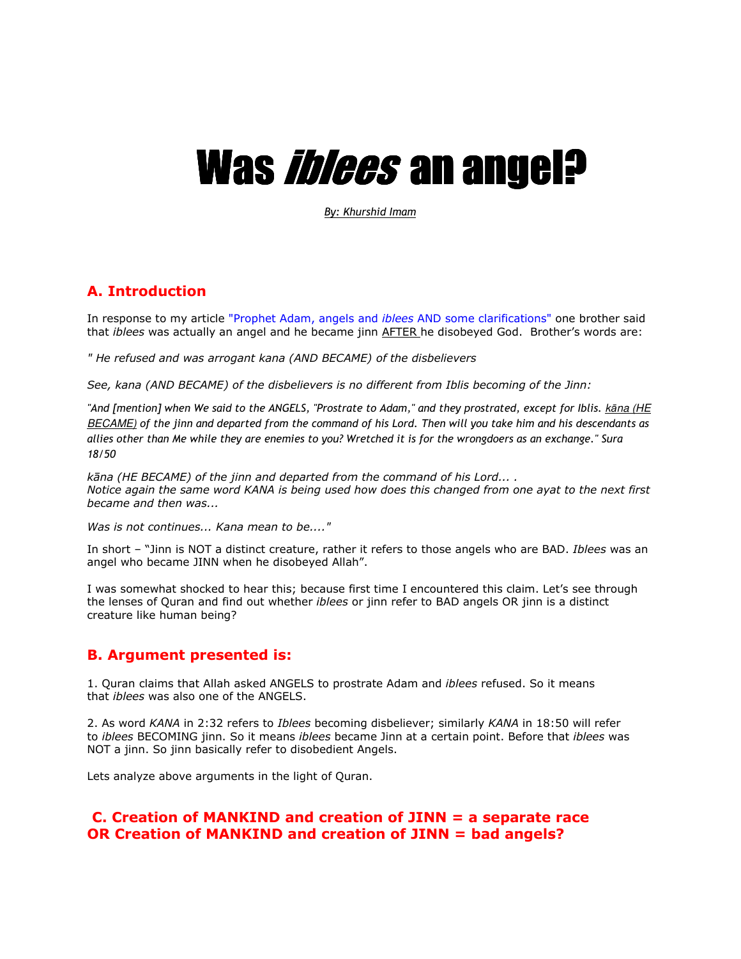# Was *iblees* an angel?

*By: Khurshid Imam*

## **A. Introduction**

In response to my article "Prophet Adam, angels and *iblees* AND some clarifications" one brother said that *iblees* was actually an angel and he became jinn AFTER he disobeyed God. Brother's words are:

*" He refused and was arrogant kana (AND BECAME) of the disbelievers*

*See, kana (AND BECAME) of the disbelievers is no different from Iblis becoming of the Jinn:*

"And [mention] when We said to the ANGELS, "Prostrate to Adam," and they prostrated, except for Iblis. kāna (HE BECAME) *of the jinn and departed from the command of his Lord. Then will you take him and his descendants as allies other than Me while they are enemies to you? Wretched it is for the wrongdoers as an exchange." Sura 18/50*

*kāna (HE BECAME) of the jinn and departed from the command of his Lord... . Notice again the same word KANA is being used how does this changed from one ayat to the next first became and then was...*

*Was is not continues... Kana mean to be...."*

In short – "Jinn is NOT a distinct creature, rather it refers to those angels who are BAD. *Iblees* was an angel who became JINN when he disobeyed Allah".

I was somewhat shocked to hear this; because first time I encountered this claim. Let's see through the lenses of Quran and find out whether *iblees* or jinn refer to BAD angels OR jinn is a distinct creature like human being?

### **B. Argument presented is:**

1. Quran claims that Allah asked ANGELS to prostrate Adam and *iblees* refused. So it means that *iblees* was also one of the ANGELS.

2. As word *KANA* in 2:32 refers to *Iblees* becoming disbeliever; similarly *KANA* in 18:50 will refer to *iblees* BECOMING jinn. So it means *iblees* became Jinn at a certain point. Before that *iblees* was NOT a jinn. So jinn basically refer to disobedient Angels.

Lets analyze above arguments in the light of Quran.

## **C. Creation of MANKIND and creation of JINN = a separate race OR Creation of MANKIND and creation of JINN = bad angels?**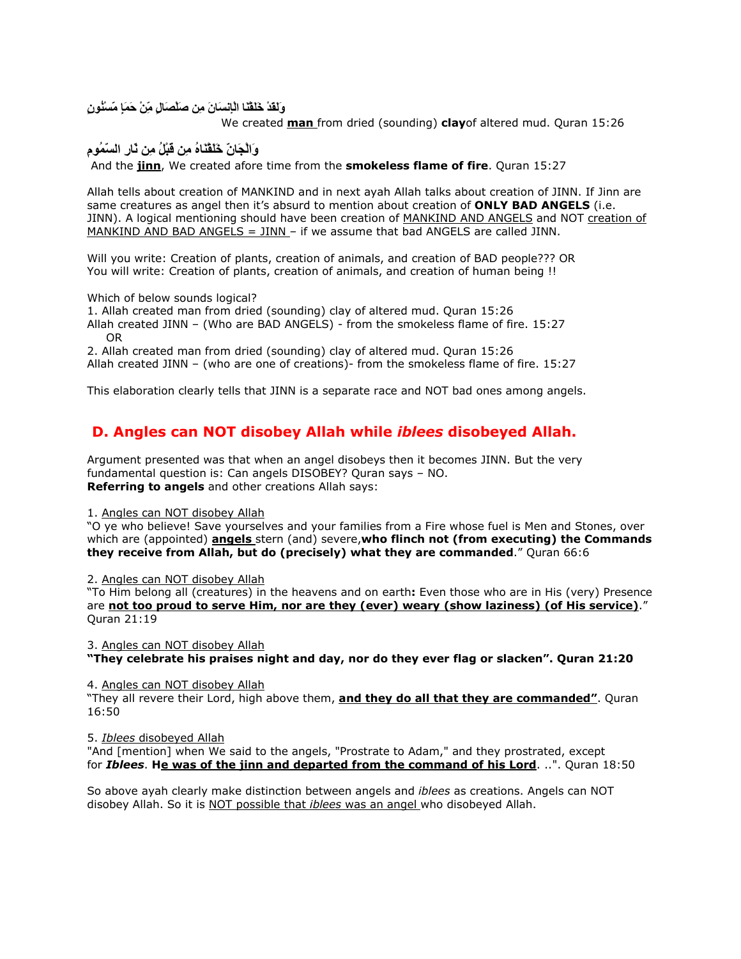وَلَقَدْ خَلَقْنَا الْإِنْسَانَ مِن صَلْصَالٍ مِّنْ حَمَإِ مَسْنُون*ٍ* 

We created **man** from dried (sounding) **clay**of altered mud. Quran 15:26

**وَاَ#ْنَّ َََْ"ُ ِ !َ ُْ ِ َّرِ اَّ
ُمِ**

And the **jinn**, We created afore time from the **smokeless flame of fire**. Quran 15:27

Allah tells about creation of MANKIND and in next ayah Allah talks about creation of JINN. If Jinn are same creatures as angel then it's absurd to mention about creation of **ONLY BAD ANGELS** (i.e. JINN). A logical mentioning should have been creation of MANKIND AND ANGELS and NOT creation of MANKIND AND BAD ANGELS =  $JINN - if$  we assume that bad ANGELS are called JINN.

Will you write: Creation of plants, creation of animals, and creation of BAD people??? OR You will write: Creation of plants, creation of animals, and creation of human being !!

Which of below sounds logical?

1. Allah created man from dried (sounding) clay of altered mud. Quran 15:26

Allah created JINN – (Who are BAD ANGELS) - from the smokeless flame of fire. 15:27 OR

2. Allah created man from dried (sounding) clay of altered mud. Quran 15:26 Allah created JINN – (who are one of creations)- from the smokeless flame of fire. 15:27

This elaboration clearly tells that JINN is a separate race and NOT bad ones among angels.

# **D. Angles can NOT disobey Allah while** *iblees* **disobeyed Allah.**

Argument presented was that when an angel disobeys then it becomes JINN. But the very fundamental question is: Can angels DISOBEY? Quran says – NO. **Referring to angels** and other creations Allah says:

#### 1. Angles can NOT disobey Allah

"O ye who believe! Save yourselves and your families from a Fire whose fuel is Men and Stones, over which are (appointed) **angels** stern (and) severe,**who flinch not (from executing) the Commands they receive from Allah, but do (precisely) what they are commanded**." Quran 66:6

2. Angles can NOT disobey Allah

"To Him belong all (creatures) in the heavens and on earth**:** Even those who are in His (very) Presence are **not too proud to serve Him, nor are they (ever) weary (show laziness) (of His service)**." Quran 21:19

3. Angles can NOT disobey Allah **"They celebrate his praises night and day, nor do they ever flag or slacken". Quran 21:20**

4. Angles can NOT disobey Allah

"They all revere their Lord, high above them, **and they do all that they are commanded"**. Quran 16:50

5. *Iblees* disobeyed Allah

"And [mention] when We said to the angels, "Prostrate to Adam," and they prostrated, except for *Iblees*. **He was of the jinn and departed from the command of his Lord**. ..". Quran 18:50

So above ayah clearly make distinction between angels and *iblees* as creations. Angels can NOT disobey Allah. So it is NOT possible that *iblees* was an angel who disobeyed Allah.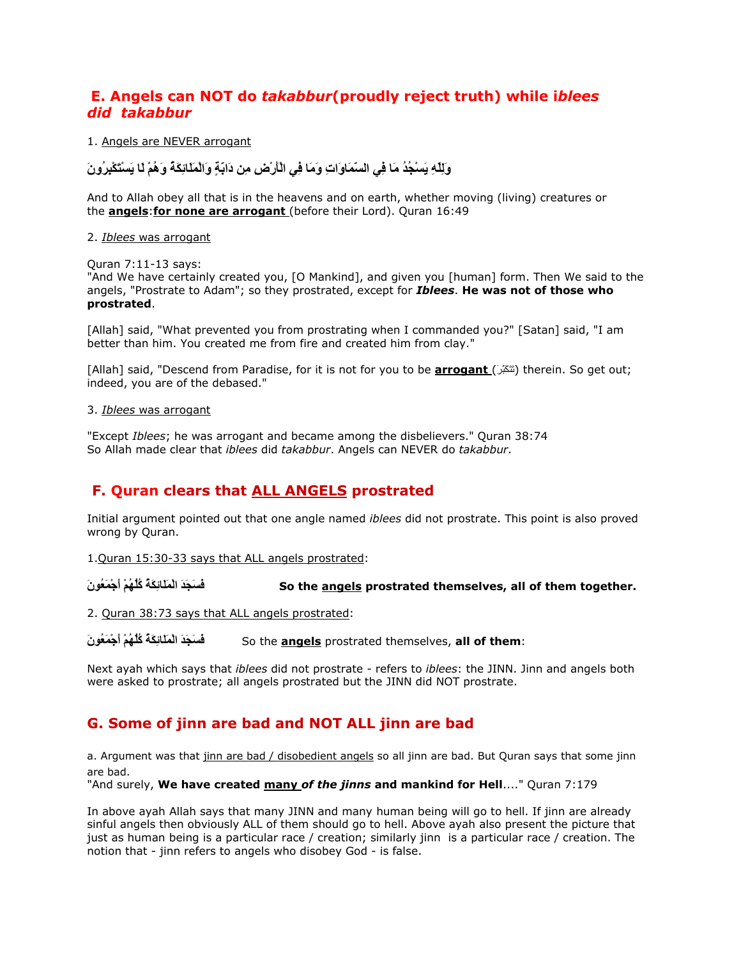## **E. Angels can NOT do** *takabbur***(proudly reject truth) while i***blees did takabbur*

1. Angels are NEVER arrogant

وَلِّلَّهِ يَسْجُدُ مَا فِي السَّمَاوَاتِ وَمَا فِي الْأَرْضِ مِن دَابَةٍ وَالْمَلَائِكَةَ وَهُمْ لَـْا يَسْتَكْبِرُونَ

And to Allah obey all that is in the heavens and on earth, whether moving (living) creatures or the **angels**:**for none are arrogant** (before their Lord). Quran 16:49

#### 2. *Iblees* was arrogant

Quran 7:11-13 says:

"And We have certainly created you, [O Mankind], and given you [human] form. Then We said to the angels, "Prostrate to Adam"; so they prostrated, except for *Iblees*. **He was not of those who prostrated**.

[Allah] said, "What prevented you from prostrating when I commanded you?" [Satan] said, "I am better than him. You created me from fire and created him from clay."

[Allah] said, "Descend from Paradise, for it is not for you to be **arrogant** (تَتَكَبَّرُ) therein. So get out; indeed, you are of the debased."

#### 3. *Iblees* was arrogant

"Except *Iblees*; he was arrogant and became among the disbelievers." Quran 38:74 So Allah made clear that *iblees* did *takabbur*. Angels can NEVER do *takabbur*.

# **F. Quran clears that ALL ANGELS prostrated**

Initial argument pointed out that one angle named *iblees* did not prostrate. This point is also proved wrong by Quran.

1.Quran 15:30-33 says that ALL angels prostrated:

ِ فَسَجَدَ الْمَلَائِكَةُ كُلُّهُمْ أَجْمَعُونَ So the <u>angels</u> prostrated themselves, all of them together.

2. Quran 38:73 says that ALL angels prostrated:

**َنُ4َ
ْجَأ ْ)ُ7ُُّآ ُ\*َ%ِ+ََ
ْا ََ#ََ1** So the **angels** prostrated themselves, **all of them**:

Next ayah which says that *iblees* did not prostrate - refers to *iblees*: the JINN. Jinn and angels both were asked to prostrate; all angels prostrated but the JINN did NOT prostrate.

# **G. Some of jinn are bad and NOT ALL jinn are bad**

a. Argument was that jinn are bad / disobedient angels so all jinn are bad. But Quran says that some jinn are bad.

"And surely, **We have created many** *of the jinns* **and mankind for Hell**...." Quran 7:179

In above ayah Allah says that many JINN and many human being will go to hell. If jinn are already sinful angels then obviously ALL of them should go to hell. Above ayah also present the picture that just as human being is a particular race / creation; similarly jinn is a particular race / creation. The notion that - jinn refers to angels who disobey God - is false.